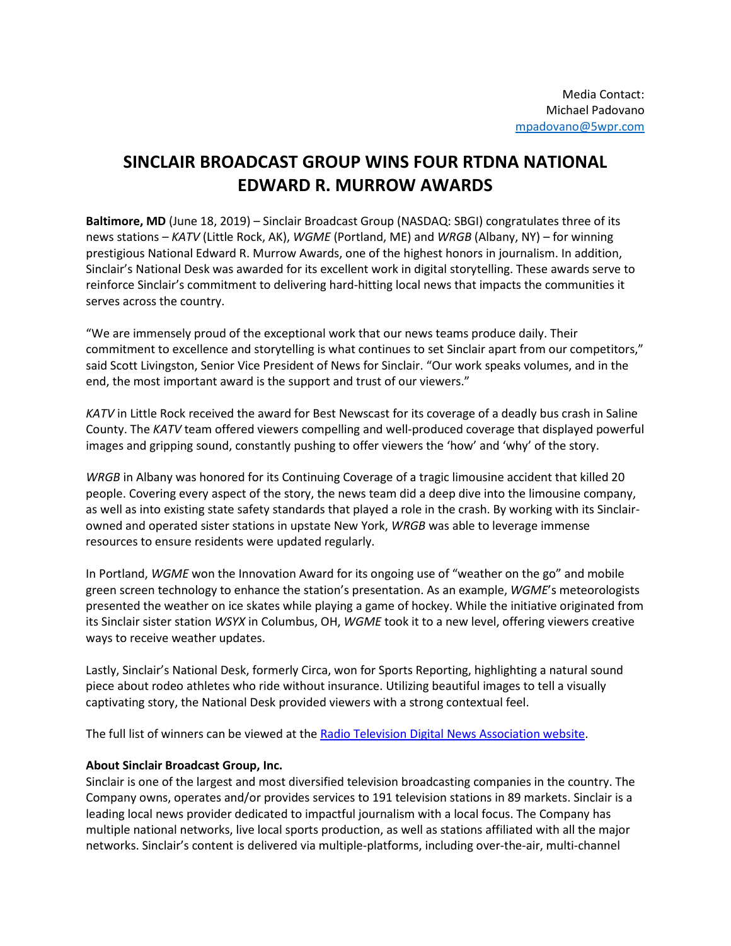## **SINCLAIR BROADCAST GROUP WINS FOUR RTDNA NATIONAL EDWARD R. MURROW AWARDS**

**Baltimore, MD** (June 18, 2019) – Sinclair Broadcast Group (NASDAQ: SBGI) congratulates three of its news stations – *KATV* (Little Rock, AK), *WGME* (Portland, ME) and *WRGB* (Albany, NY) – for winning prestigious National Edward R. Murrow Awards, one of the highest honors in journalism. In addition, Sinclair's National Desk was awarded for its excellent work in digital storytelling. These awards serve to reinforce Sinclair's commitment to delivering hard-hitting local news that impacts the communities it serves across the country.

"We are immensely proud of the exceptional work that our news teams produce daily. Their commitment to excellence and storytelling is what continues to set Sinclair apart from our competitors," said Scott Livingston, Senior Vice President of News for Sinclair. "Our work speaks volumes, and in the end, the most important award is the support and trust of our viewers."

*KATV* in Little Rock received the award for Best Newscast for its coverage of a deadly bus crash in Saline County. The *KATV* team offered viewers compelling and well-produced coverage that displayed powerful images and gripping sound, constantly pushing to offer viewers the 'how' and 'why' of the story.

*WRGB* in Albany was honored for its Continuing Coverage of a tragic limousine accident that killed 20 people. Covering every aspect of the story, the news team did a deep dive into the limousine company, as well as into existing state safety standards that played a role in the crash. By working with its Sinclairowned and operated sister stations in upstate New York, *WRGB* was able to leverage immense resources to ensure residents were updated regularly.

In Portland, *WGME* won the Innovation Award for its ongoing use of "weather on the go" and mobile green screen technology to enhance the station's presentation. As an example, *WGME*'s meteorologists presented the weather on ice skates while playing a game of hockey. While the initiative originated from its Sinclair sister station *WSYX* in Columbus, OH, *WGME* took it to a new level, offering viewers creative ways to receive weather updates.

Lastly, Sinclair's National Desk, formerly Circa, won for Sports Reporting, highlighting a natural sound piece about rodeo athletes who ride without insurance. Utilizing beautiful images to tell a visually captivating story, the National Desk provided viewers with a strong contextual feel.

The full list of winners can be viewed at the [Radio Television Digital News Association website.](https://rtdna.org/content/2019_national_edward_r_murrow_award_winners)

## **About Sinclair Broadcast Group, Inc.**

Sinclair is one of the largest and most diversified television broadcasting companies in the country. The Company owns, operates and/or provides services to 191 television stations in 89 markets. Sinclair is a leading local news provider dedicated to impactful journalism with a local focus. The Company has multiple national networks, live local sports production, as well as stations affiliated with all the major networks. Sinclair's content is delivered via multiple-platforms, including over-the-air, multi-channel